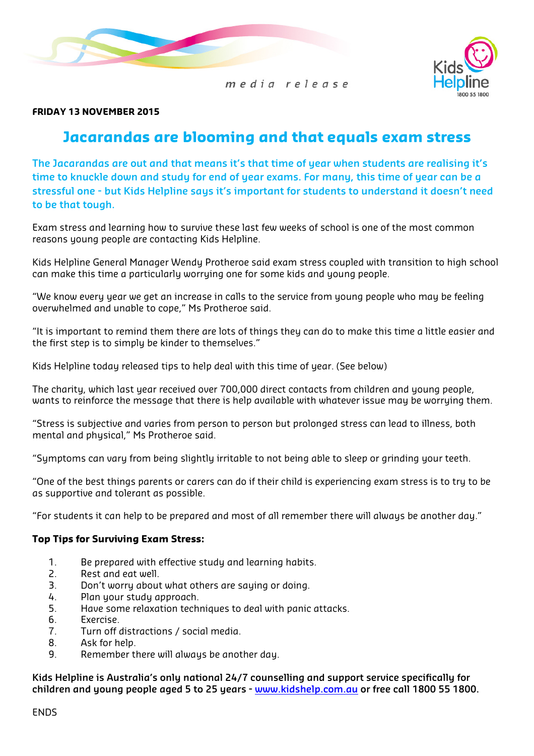



#### FRIDAY 13 NOVEMBER 2015

# Jacarandas are blooming and that equals exam stress

The Jacarandas are out and that means it's that time of year when students are realising it's time to knuckle down and study for end of year exams. For many, this time of year can be a stressful one - but Kids Helpline says it's important for students to understand it doesn't need to be that tough.

Exam stress and learning how to survive these last few weeks of school is one of the most common reasons young people are contacting Kids Helpline.

Kids Helpline General Manager Wendy Protheroe said exam stress coupled with transition to high school can make this time a particularly worrying one for some kids and young people.

"We know every year we get an increase in calls to the service from young people who may be feeling overwhelmed and unable to cope," Ms Protheroe said.

"It is important to remind them there are lots of things they can do to make this time a little easier and the first step is to simply be kinder to themselves."

Kids Helpline today released tips to help deal with this time of year. (See below)

The charity, which last year received over 700,000 direct contacts from children and young people, wants to reinforce the message that there is help available with whatever issue may be worrying them.

"Stress is subjective and varies from person to person but prolonged stress can lead to illness, both mental and physical," Ms Protheroe said.

"Symptoms can vary from being slightly irritable to not being able to sleep or grinding your teeth.

"One of the best things parents or carers can do if their child is experiencing exam stress is to try to be as supportive and tolerant as possible.

"For students it can help to be prepared and most of all remember there will always be another day."

#### Top Tips for Surviving Exam Stress:

- 1. Be prepared with effective study and learning habits.
- 2. Rest and eat well.
- 3. Don't worry about what others are saying or doing.
- 4. Plan your study approach.
- 5. Have some relaxation techniques to deal with panic attacks.
- 6. Exercise.
- 7. Turn off distractions / social media.
- 8. Ask for help.
- 9. Remember there will always be another day.

Kids Helpline is Australia's only national 24/7 counselling and support service specifically for children and young people aged 5 to 25 years - www.kidshelp.com.au or free call 1800 55 1800.